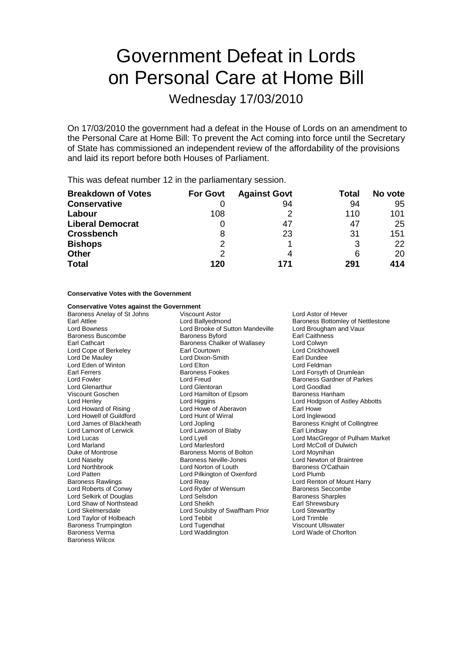# Government Defeat in Lords on Personal Care at Home Bill

Wednesday 17/03/2010

On 17/03/2010 the government had a defeat in the House of Lords on an amendment to the Personal Care at Home Bill: To prevent the Act coming into force until the Secretary of State has commissioned an independent review of the affordability of the provisions and laid its report before both Houses of Parliament.

This was defeat number 12 in the parliamentary session.

| <b>Breakdown of Votes</b> | <b>For Govt</b> | <b>Against Govt</b> | Total | No vote |
|---------------------------|-----------------|---------------------|-------|---------|
| <b>Conservative</b>       |                 | 94                  | 94    | 95      |
| Labour                    | 108             | っ                   | 110   | 101     |
| <b>Liberal Democrat</b>   |                 | 47                  | 47    | 25      |
| <b>Crossbench</b>         | 8               | 23                  | 31    | 151     |
| <b>Bishops</b>            | 2               |                     | 3     | 22      |
| <b>Other</b>              | 2               | 4                   | 6     | 20      |
| <b>Total</b>              | 120             | 171                 | 291   | 414     |

### **Conservative Votes with the Government**

## **Conservative Votes against the Government**<br>Baroness Anelay of St Johns Viscount Astor

Lord Eden of Winton Lord Elton<br>
Earl Ferrers Carl Baroness Fookes Viscount Goschen Lord Hamilton of Epsom Lord Howell of Guildford Lord Hunt of<br>
Lord James of Blackheath Lord Jopling Lord Shaw of Northstead Lord Sheikh Baroness Trumpington Baroness Verma Lord Waddington Lord Wade of Chorlton Baroness Wilcox

Baroness Anelay of St Johns Viscount Astor Lord Astor Lord Astor of Hever Lord Bowness Lord Brooke of Sutton Mandeville Lord Brougham and Vaux Baroness Buscombe Baroness Byford Earl Caithness Exercise Caithness Baroness Byford Caithness Chalker of Wallasey Earl Caithness Baroness Chalker of Wallasey Lord Cope of Berkeley **Earl Courtown** Early Courtown Lord Crickhowell Lord De Mauley **Lord Dixon-Smith** Carl Dundee<br>
Lord Eden of Winton **Carl Lord Exercise Contract Contract Contract Contract Contract Contract Lord Feldman** Lord Fowler **Lord Freud** Executive Corporation Corporation Baroness Gardner of Parkes Lord Glenarthur Lord Glentoran Lord Goodlad Lord Howard of Rising **Lord Howe of Aberavon** Earl Howe<br>
Lord Howell of Guildford **Lord Hunt of Wirral** Lord Home Lord Inglewood Lord Lamont of Lerwick Lord Lawson of Blaby Earl Lindsay<br>
Lord Lucas Lord Lord Lord MacGre Duke of Montrose **Baroness Morris of Bolton** Lord Moynihan Lord Naseby **Baroness Neville-Jones** Lord Newton of Braintree<br>
Lord Northbrook **Lord Norton of Louth** Baroness O'Cathain Lord Northbrook Lord Norton of Louth Baroness O<br>
Lord Patten Lord Pilkington of Oxenford Lord Plumb Lord Pilkington of Oxenford Baroness Rawlings **Example 2** Lord Reay Lord Reavenus Renton of Mount Harry<br>
Lord Roberts of Conwy Lord Ryder of Wensum<br>
Lord Roberts of Conwy Lord Ryder of Wensum Lord Selkirk of Douglas Lord Selsdon Baroness Sharples Lord Skelmersdale Lord Soulsby of Swaffham Prior Lord Stewartby Lord Taylor of Holbeach Lord Tebbit Lord Trimble

Earl Attlee **Lord Ballyedmond** Baroness Bottomley of Nettlestone Lord Forsyth of Drumlean Lord Henley **Lord Higgins** Lord Higgins **Lord Hotel Lord Hodgson of Astley Abbotts** Baroness Knight of Collingtree Lord Lucas Lord Lyell Lord MacGregor of Pulham Market Lord McColl of Dulwich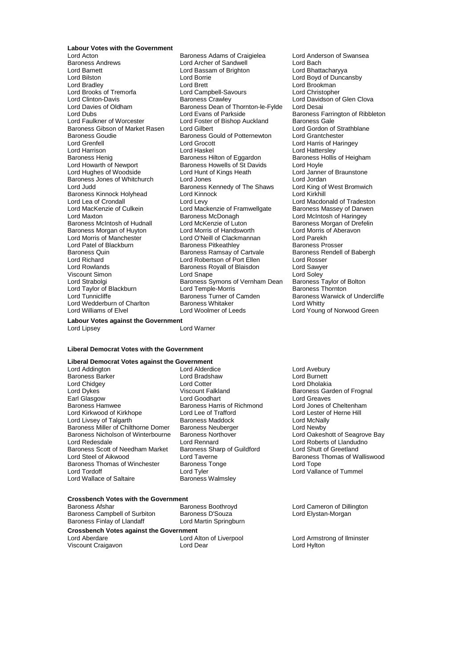### **Labour Votes with the Government**<br>Lord Acton

Lord Barnett **Lord Bassam of Brighton Lord Bassam of Brighton**<br>
Lord Bilston **Lord Borrie** Lord Brooks of Tremorfa Baroness Goudie Baroness Gould of Potternewton<br>
Lord Grenfell<br>
Lord Grocott Baroness Kinnock Holyhead Lord MacKenzie of Culkein Lord Mackenzie of Framwellgate<br>Lord Maxton Lord Baroness McDonagh Baroness Quin Baroness Ramsay of Cartvale Viscount Simon **Lord Snape** Lord Taylor of Blackburn Lord Temple-Morris<br>
Lord Tunnicliffe Communiculation Baroness Turner of Camden Lord Wedderburn of Charlton Baroness Whitaker

Baroness Adams of Craigielea Lord Anderson of Swansea Baroness Andrews **Example 2** Lord Archer of Sandwell **Lord Bach Lord Bach Lord Bach**<br>
Lord Bassam of Brighton Lord Bhattacharyya Lord Bilston Lord Borrie Lord Boyd of Duncansby Lord Brett<br>
Lord Campbell-Savours
Lord Christopher Lord Clinton-Davis **Baroness Crawley Lord Davidson of Glen Clova**<br>
Lord Davidson of Glen Clova<br>
Lord Davies of Oldham Baroness Dean of Thornton-le-Fylde Lord Desai Lord Davies of Oldham Baroness Dean of Thornton-le-Fylde Lord Desai<br>Lord Dubs Lord Evans of Parkside Baroness F Lord Dubs Lord Evans of Parkside **Baroness Farrington of Ribbleton**<br>
Lord Eaulkner of Worcester Lord Foster of Bishop Auckland Baroness Gale Lord Foster of Bishop Auckland Baroness Gale<br>Lord Gilbert Cord Gordon of Strathblane Baroness Gibson of Market Rasen Lord Gilbert Cordon Cordon of Strathbaness Gould of Potternewton Lord Grantchester Lord Grenfell Lord Grocott Lord Harris of Haringey Lord Harrison **Lord Haskel** Lord Haskel **Lord Haskel** Lord Hattersley<br>
Baroness Henig **Containers** Baroness Hilton of Eggardon Baroness Hollis of Heigham Baroness Henig Baroness Hilton of Eggardon Baroness Henighted Baroness Hollis Cord Hove<br>
Baroness Howells of St Davids Lord Hovle Baroness Howells of St Davids Lord Hoyle<br>
Lord Hunt of Kings Heath Lord Janner of Braunstone Lord Hughes of Woodside Lord Hunt of Kings Heath Lord Janner<br>Baroness Jones of Whitchurch Lord Jones Lord Jondan Baroness Jones of Whitchurch Lord Jones<br>
Lord Judd Lord Judd Baroness Kennedy of The Shaws Lord King of West Bromwich **Baroness Kennedy of The Shaws Lord King of Lord King Argent Bromwith Bromwith Bromwith Bromwith Bromwith Bromw** Lord Lea of Crondall **Lord Levy** Lord Levy Lord Macdonald of Tradeston<br>
Lord MacKenzie of Culkein Lord Mackenzie of Framwellgate Baroness Massey of Darwen Lord Maxton both daringey Baroness McDonagh Lord McIntosh of Haringey<br>Baroness McIntosh of Hudnall Lord McKenzie of Luton Baroness Morgan of Drefel Baroness Morgan of Huyton Lord Morris of Handsworth Lord Morris of Aberavon<br>
Lord Morris of Manchester Lord O'Neill of Clackmannan Lord Parekh Lord Morris of Manchester Lord O'Neill of Clackmannan Lord Parekh Baroness Pitkeathley<br>
Baroness Ramsay of Cartvale Baroness Rendell of Babergh Lord Richard Lord Robertson of Port Ellen Lord Rosser Baroness Royall of Blaisdon Lord Sawyer<br>1987 Lord Soley Lord Soley<br>1987 Baroness Symons of Vernham Dean Baroness Taylor of Bolton Lord Strabolgi **Baroness Symons of Vernham Dean** Baroness Taylor of Lord Taylor of Lord Temple-Morris **Container Symons of Vernham Dean** Baroness Thornton Lord Williams of Elvel Lord Woolmer of Leeds Lord Young of Norwood Green

Baroness Morgan of Drefelin Baroness Warwick of Undercliffe<br>Lord Whitty

**Labour Votes against the Government**<br>Lord Linsey Lord Lipsey

### **Liberal Democrat Votes with the Government**

### **Liberal Democrat Votes against the Government**

Baroness Barker Lord Chidgey **Lord Cotter Lord Cotter** Lord Dholakia<br>
Lord Dykes Care Construction Control Construction Construction Construction Construction Construction Construct<br>
Lord Dykes Care Construction Construction Construction Lord Dykes **Communist Communist Communist Communist Communist Communist Communist Communist Communist Communist Communist Communist Communist Communist Communist Communist Communist Communist Communist Communist Communist** Earl Glasgow **Lord Goodhart**<br>
Baroness Hammude Baroness Harris of Richmond Baroness Hamwee Baroness Harris of Richmond Lord Jones of Cheltenham<br>
Lord Kirkwood of Kirkhope Lord Lee of Trafford Lord Lester of Herne Hill Lord Livsey of Talgarth in the Baroness Maddock Lord McNally<br>Baroness Miller of Chilthorne Domer Baroness Neuberger Lord Newby Baroness Miller of Chilthorne Domer Baroness Neuberger The Lord Newby Lord Newby<br>Baroness Nicholson of Winterbourne Baroness Northover The Lord Oakeshott of Seagrove Bay Baroness Nicholson of Winterbourne Baroness Northover Lord Redesdale Lord Rennard Lord Roberts of Llandudno Baroness Scott of Needham Market Baroness Sharp Cord Steel of Aikwood Lord Taverne Baroness Thomas of Winchester Baroness Tonge The Cord Tope<br>
Lord Tordoff Cord Tope Lord Tyler Cord Tope Lord Vallar Lord Wallace of Saltaire **Baroness Walmsley** 

Lord Addington **Lord Alderdice** Lord Avebury<br>
Baroness Barker **Lord Burnett** Lord Bradshaw **Lord Burnett** Lord Lee of Trafford<br>
Baroness Maddock<br>
Lord McNally<br>
Lord McNally

## **Crossbench Votes with the Government**

Baroness Campbell of Surbiton Baroness D'Souza Comment Lord Elystan-Morgan<br>Baroness Finlav of Llandaff Cord Martin Springburn Baroness Finlay of Llandaff

**Crossbench Votes against the Government**

Viscount Craigavon

Baroness Thomas of Walliswood Lord Vallance of Tummel

Lord Cameron of Dillington

Lord Alton of Liverpool Lord Armstrong of Ilminster<br>
Lord Dear
Lord Armstrong of Ilminster
Lord Hvlton